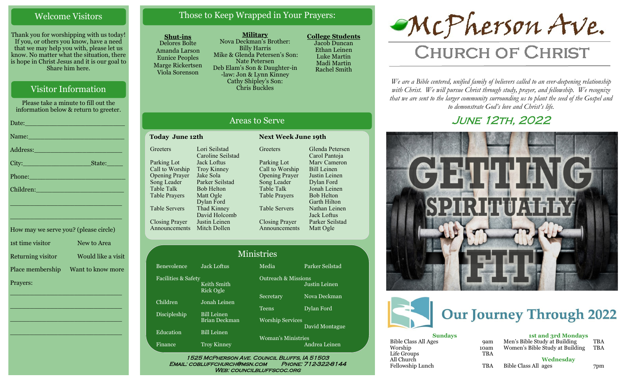### Welcome Visitors

Thank you for worshipping with us today! If you, or others you know, have a need that we may help you with, please let us know. No matter what the situation, there is hope in Christ Jesus and it is our goal to Share him here.

## Visitor Information

Please take a minute to fill out the information below & return to greeter.

| Date: No. 1996. In the second contract of the second contract of the second contract of the second contract of                                                                                                                 |
|--------------------------------------------------------------------------------------------------------------------------------------------------------------------------------------------------------------------------------|
| Name: Name and the second state of the second state of the second state of the second state of the second state of the second state of the second state of the second state of the second state of the second state of the sec |
| Address: 2008 - 2008 - 2014 - 2015 - 2016 - 2017 - 2018 - 2019 - 2019 - 2019 - 2019 - 2019 - 2019 - 2019 - 20                                                                                                                  |
|                                                                                                                                                                                                                                |
| Phone: 2008 2010 2010 2021 2022 2023 2024 2022 2023 2024 2022 2023 2024 2022 2023 2024 2022 2023 2024 2022 20                                                                                                                  |
| Children: New York Children                                                                                                                                                                                                    |
| <u> 1989 - Johann John Stone, mars eta bizkailar (h. 1989).</u>                                                                                                                                                                |
|                                                                                                                                                                                                                                |

| How may we serve you? (please circle) |                    |
|---------------------------------------|--------------------|
| 1st time visitor                      | New to Area        |
| Returning visitor                     | Would like a visit |
| Place membership                      | Want to know more  |
| Prayers:                              |                    |

\_\_\_\_\_\_\_\_\_\_\_\_\_\_\_\_\_\_\_\_\_\_\_\_\_\_\_\_

 $\overline{\phantom{a}}$  , and the set of the set of the set of the set of the set of the set of the set of the set of the set of the set of the set of the set of the set of the set of the set of the set of the set of the set of the s

 $\overline{\phantom{a}}$  , and the set of the set of the set of the set of the set of the set of the set of the set of the set of the set of the set of the set of the set of the set of the set of the set of the set of the set of the s

\_\_\_\_\_\_\_\_\_\_\_\_\_\_\_\_\_\_\_\_\_\_\_\_\_\_\_\_

\_\_\_\_\_\_\_\_\_\_\_\_\_\_\_\_\_\_\_\_\_\_\_\_\_\_\_\_

# Those to Keep Wrapped in Your Prayers:

#### **Shut-ins**

**Greeters** 

Parking Lot Call to Worship Opening Prayer Song Leader Table Talk Table Prayers

Table Servers

Closing Prayer

Announcements Mitch Dollen

Finance

Delores Bolte Amanda Larson Eunice Peoples Marge Rickertsen Viola Sorenson

**Military** Nova Deckman's Brother: Billy Harris Mike & Glenda Petersen's Son: Nate Petersen Deb Elam's Son & Daughter-in -law: Jon & Lynn Kinney Cathy Shipley's Son: Chris Buckles

Areas to Serve

**Greeters** 

Parking Lot Call to Worship Opening Prayer Song Leader Table Talk Table Prayers

Table Servers

Closing Prayer Announcements

**Today June 12th Next Week June 19th**

Lori Seilstad Caroline Seilstad Jack Loftus Troy Kinney Jake Sola Parker Seilstad Bob Helton Matt Ogle Dylan Ford Thad Kinney David Holcomb Justin Leinen

**College Students**  Jacob Duncan Ethan Leinen Luke Martin Madi Martin Rachel Smith

Glenda Petersen Carol Pantoja Marv Cameron Bill Leinen Justin Leinen Dylan Ford Jonah Leinen Bob Helton Garth Hilton Nathan Leinen Jack Loftus Parker Seilstad Matt Ogle

# McPherson Ave.

# **CHURCH OF CHRIST**

*We are a Bible centered, unified family of believers called to an ever-deepening relationship*  with Christ. We will pursue Christ through study, prayer, and fellowship. We recognize *that we are sent to the larger community surrounding us to plant the seed of the Gospel and to demonstrate God's love and Christ's life.*

# June 12th, 2022





| <b>Sundays</b>       |            | <b>1st and 3rd Mondays</b>      |            |
|----------------------|------------|---------------------------------|------------|
| Bible Class All Ages | <b>9am</b> | Men's Bible Study at Building   | <b>TBA</b> |
| Worship              | 10am       | Women's Bible Study at Building | <b>TBA</b> |
| Life Groups          | <b>TBA</b> |                                 |            |
| All Church           |            | Wednesday                       |            |
| Fellowship Lunch     | <b>TBA</b> | Bible Class All ages            | 7pm        |

|                     |                                     | Minist |
|---------------------|-------------------------------------|--------|
| Benevolence         | <b>Jack Loftus</b>                  | N      |
| Facilities & Safety | Keith Smith<br>Rick Ogle            |        |
| Children            | Jonah Leinen                        | Š      |
| Discipleship        | <b>Bill Leinen</b><br>Brian Deckman | Ί<br>V |
| Education           | <b>Bill</b> Leinen                  | V      |
| Finance             | Trov Kinney                         |        |

# Media Parker Seilstad ries

Outreach & Missions ecretary Nova Deckman eens Dylan Ford Worship Services

> 'oman's Ministries Andrea Leinen

Justin Leinen

David Montague

1525 McPherson Ave. Council Bluffs, IA 51503 Email: cobluffchurch@msn.com Phone: 712-322-8144 WEB: COUNCILBLUFFSCOC.ORG